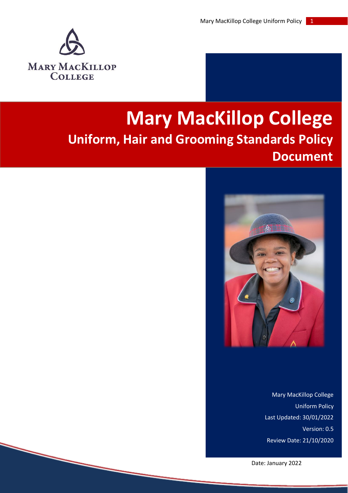

# **Mary MacKillop College Uniform, Hair and Grooming Standards Policy Document**



Mary MacKillop College Uniform Policy Last Updated: 30/01/2022 Version: 0.5 Review Date: 21/10/2020

Date: January 2022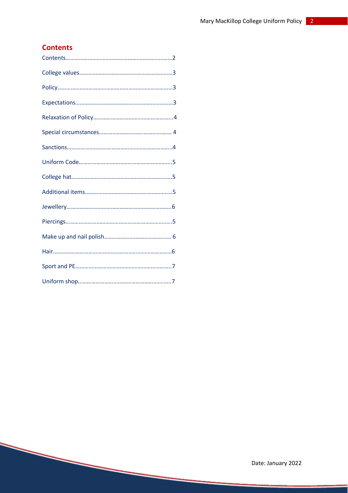# **Contents**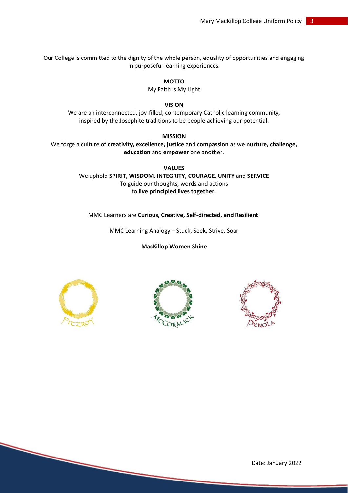Our College is committed to the dignity of the whole person, equality of opportunities and engaging in purposeful learning experiences.

#### **MOTTO**

My Faith is My Light

#### **VISION**

We are an interconnected, joy-filled, contemporary Catholic learning community, inspired by the Josephite traditions to be people achieving our potential.

#### **MISSION**

We forge a culture of **creativity, excellence, justice** and **compassion** as we **nurture, challenge, education** and **empower** one another.

> **VALUES** We uphold **SPIRIT, WISDOM, INTEGRITY, COURAGE, UNITY** and **SERVICE** To guide our thoughts, words and actions to **live principled lives together.**

#### MMC Learners are **Curious, Creative, Self-directed, and Resilient**.

MMC Learning Analogy – Stuck, Seek, Strive, Soar

**MacKillop Women Shine**







Date: January 2022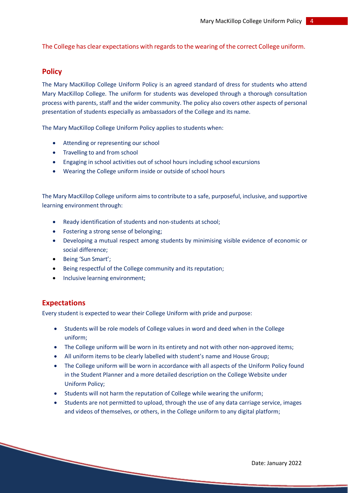The College has clear expectations with regards to the wearing of the correct College uniform.

#### **Policy**

The Mary MacKillop College Uniform Policy is an agreed standard of dress for students who attend Mary MacKillop College. The uniform for students was developed through a thorough consultation process with parents, staff and the wider community. The policy also covers other aspects of personal presentation of students especially as ambassadors of the College and its name.

The Mary MacKillop College Uniform Policy applies to students when:

- Attending or representing our school
- Travelling to and from school
- Engaging in school activities out of school hours including school excursions
- Wearing the College uniform inside or outside of school hours

The Mary MacKillop College uniform aims to contribute to a safe, purposeful, inclusive, and supportive learning environment through:

- Ready identification of students and non-students at school;
- Fostering a strong sense of belonging;
- Developing a mutual respect among students by minimising visible evidence of economic or social difference;
- Being 'Sun Smart';
- Being respectful of the College community and its reputation;
- Inclusive learning environment;

#### **Expectations**

Every student is expected to wear their College Uniform with pride and purpose:

- Students will be role models of College values in word and deed when in the College uniform;
- The College uniform will be worn in its entirety and not with other non-approved items;
- All uniform items to be clearly labelled with student's name and House Group;
- The College uniform will be worn in accordance with all aspects of the Uniform Policy found in the Student Planner and a more detailed description on the College Website under Uniform Policy;
- Students will not harm the reputation of College while wearing the uniform;
- Students are not permitted to upload, through the use of any data carriage service, images and videos of themselves, or others, in the College uniform to any digital platform;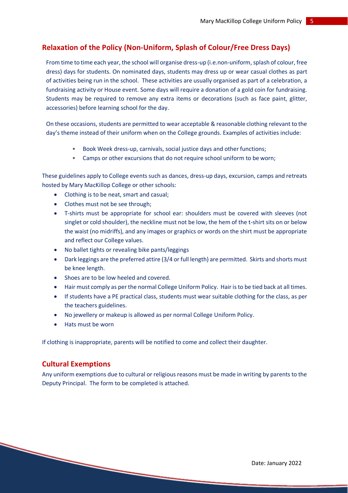# **Relaxation of the Policy (Non-Uniform, Splash of Colour/Free Dress Days)**

From time to time each year, the school will organise dress-up (i.e.non-uniform, splash of colour, free dress) days for students. On nominated days, students may dress up or wear casual clothes as part of activities being run in the school. These activities are usually organised as part of a celebration, a fundraising activity or House event. Some days will require a donation of a gold coin for fundraising. Students may be required to remove any extra items or decorations (such as face paint, glitter, accessories) before learning school for the day.

On these occasions, students are permitted to wear acceptable & reasonable clothing relevant to the day's theme instead of their uniform when on the College grounds. Examples of activities include:

- Book Week dress-up, carnivals, social justice days and other functions;
- Camps or other excursions that do not require school uniform to be worn;

These guidelines apply to College events such as dances, dress-up days, excursion, camps and retreats hosted by Mary MacKillop College or other schools:

- Clothing is to be neat, smart and casual;
- Clothes must not be see through;
- T-shirts must be appropriate for school ear: shoulders must be covered with sleeves (not singlet or cold shoulder), the neckline must not be low, the hem of the t-shirt sits on or below the waist (no midriffs), and any images or graphics or words on the shirt must be appropriate and reflect our College values.
- No ballet tights or revealing bike pants/leggings
- Dark leggings are the preferred attire (3/4 or full length) are permitted. Skirts and shorts must be knee length.
- Shoes are to be low heeled and covered.
- Hair must comply as per the normal College Uniform Policy. Hair is to be tied back at all times.
- If students have a PE practical class, students must wear suitable clothing for the class, as per the teachers guidelines.
- No jewellery or makeup is allowed as per normal College Uniform Policy.
- Hats must be worn

If clothing is inappropriate, parents will be notified to come and collect their daughter.

# **Cultural Exemptions**

Any uniform exemptions due to cultural or religious reasons must be made in writing by parents to the Deputy Principal. The form to be completed is attached.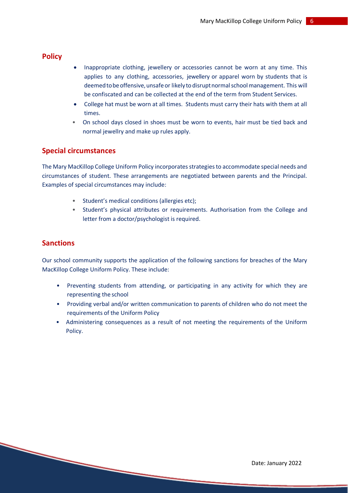# **Policy**

- Inappropriate clothing, jewellery or accessories cannot be worn at any time. This applies to any clothing, accessories, jewellery or apparel worn by students that is deemedtobeoffensive,unsafe or likely todisruptnormalschoolmanagement. This will be confiscated and can be collected at the end of the term from Student Services.
- College hat must be worn at all times. Students must carry their hats with them at all times.
- On school days closed in shoes must be worn to events, hair must be tied back and normal jewellry and make up rules apply.

# **Special circumstances**

The Mary MacKillop College Uniform Policy incorporates strategies to accommodate special needs and circumstances of student. These arrangements are negotiated between parents and the Principal. Examples of special circumstances may include:

- Student's medical conditions (allergies etc);
- Student's physical attributes or requirements. Authorisation from the College and letter from a doctor/psychologist is required.

# **Sanctions**

Our school community supports the application of the following sanctions for breaches of the Mary MacKillop College Uniform Policy. These include:

- Preventing students from attending, or participating in any activity for which they are representing the school
- Providing verbal and/or written communication to parents of children who do not meet the requirements of the Uniform Policy
- Administering consequences as a result of not meeting the requirements of the Uniform Policy.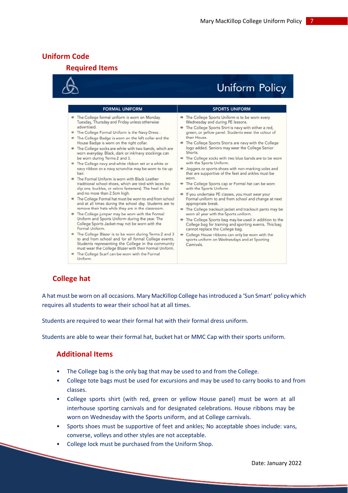# **Uniform Code**

# **Required Items**



# **Uniform Policy**

| <b>SPORTS UNIFORM</b>                                                                                                                                                                                                                                                                                                                                                                                                                                                                                                                                                                                                                                                                                                                                                                                                                                                                                                                                                                                                                               |
|-----------------------------------------------------------------------------------------------------------------------------------------------------------------------------------------------------------------------------------------------------------------------------------------------------------------------------------------------------------------------------------------------------------------------------------------------------------------------------------------------------------------------------------------------------------------------------------------------------------------------------------------------------------------------------------------------------------------------------------------------------------------------------------------------------------------------------------------------------------------------------------------------------------------------------------------------------------------------------------------------------------------------------------------------------|
| The College Sports Uniform is to be worn every<br>Wednesday and during PE lessons.<br>The College Sports Shirt is navy with either a red,<br>₩<br>green, or yellow panel. Students wear the colour of<br>their House.<br>The College Sports Shorts are navy with the College<br>₩<br>logo added. Seniors may wear the College Senior<br>Shorts.<br>The College socks with two blue bands are to be worn<br>with the Sports Uniform.<br>Joggers or sports shoes with non-marking soles and<br>吟<br>that are supportive of the feet and ankles must be<br>worn.<br>The College Sports cap or Formal hat can be worn<br>with the Sports Uniform.<br>If you undertake PE classes, you must wear your<br>Formal uniform to and from school and change at next<br>appropriate break.<br>The College tracksuit jacket and tracksuit pants may be<br>吟<br>worn all year with the Sports uniform.<br>The College Sports bag may be used in addition to the<br>吟<br>College bag for training and sporting events. This bag<br>cannot replace the College bag. |
| College House ribbons can only be worn with the<br>吟<br>sports uniform on Wednesdays and at Sporting<br>Carnivals.                                                                                                                                                                                                                                                                                                                                                                                                                                                                                                                                                                                                                                                                                                                                                                                                                                                                                                                                  |
| The College Formal hat must be worn to and from school<br>and at all times during the school day. Students are to<br>to and from school and for all formal College events.<br>Students representing the College in the community<br>must wear the College Blazer with their Formal Uniform.                                                                                                                                                                                                                                                                                                                                                                                                                                                                                                                                                                                                                                                                                                                                                         |

# **College hat**

A hat must be worn on all occasions. Mary MacKillop College has introduced a 'Sun Smart' policy which requires all students to wear their school hat at all times.

Students are required to wear their formal hat with their formal dress uniform.

Students are able to wear their formal hat, bucket hat or MMC Cap with their sports uniform.

# **Additional Items**

- The College bag is the only bag that may be used to and from the College.
- College tote bags must be used for excursions and may be used to carry books to and from classes.
- College sports shirt (with red, green or yellow House panel) must be worn at all interhouse sporting carnivals and for designated celebrations. House ribbons may be worn on Wednesday with the Sports uniform, and at College carnivals.
- Sports shoes must be supportive of feet and ankles; No acceptable shoes include: vans, converse, volleys and other styles are not acceptable.
- College lock must be purchased from the Uniform Shop.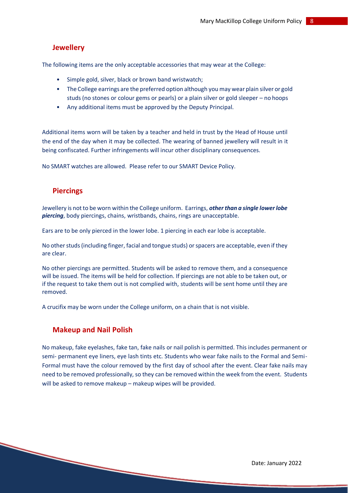# **Jewellery**

The following items are the only acceptable accessories that may wear at the College:

- Simple gold, silver, black or brown band wristwatch;
- The College earrings are the preferred option although you may wear plain silver or gold studs (no stones or colour gems or pearls) or a plain silver or gold sleeper – no hoops
- Any additional items must be approved by the Deputy Principal.

Additional items worn will be taken by a teacher and held in trust by the Head of House until the end of the day when it may be collected. The wearing of banned jewellery will result in it being confiscated. Further infringements will incur other disciplinary consequences.

No SMART watches are allowed. Please refer to our SMART Device Policy.

# **Piercings**

Jewellery is not to be worn within the College uniform. Earrings, *other than a single lowerlobe piercing*, body piercings, chains, wristbands, chains, rings are unacceptable.

Ears are to be only pierced in the lower lobe. 1 piercing in each ear lobe is acceptable.

No other studs (including finger, facial and tongue studs) or spacers are acceptable, even if they are clear.

No other piercings are permitted. Students will be asked to remove them, and a consequence will be issued. The items will be held for collection. If piercings are not able to be taken out, or if the request to take them out is not complied with, students will be sent home until they are removed.

A crucifix may be worn under the College uniform, on a chain that is not visible.

# **Makeup and Nail Polish**

No makeup, fake eyelashes, fake tan, fake nails or nail polish is permitted. This includes permanent or semi- permanent eye liners, eye lash tints etc. Students who wear fake nails to the Formal and Semi-Formal must have the colour removed by the first day of school after the event. Clear fake nails may need to be removed professionally, so they can be removed within the week from the event. Students will be asked to remove makeup – makeup wipes will be provided.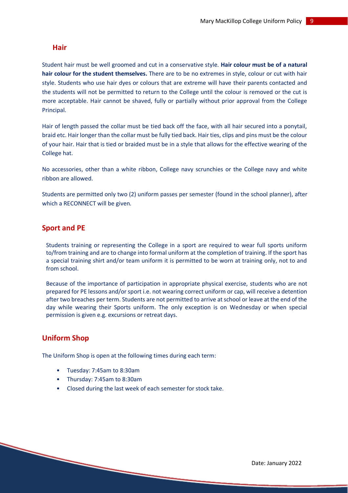#### **Hair**

Student hair must be well groomed and cut in a conservative style. **Hair colour must be of a natural hair colour for the student themselves.** There are to be no extremes in style, colour or cut with hair style. Students who use hair dyes or colours that are extreme will have their parents contacted and the students will not be permitted to return to the College until the colour is removed or the cut is more acceptable. Hair cannot be shaved, fully or partially without prior approval from the College Principal.

Hair of length passed the collar must be tied back off the face, with all hair secured into a ponytail, braid etc. Hair longer than the collar must be fully tied back. Hair ties, clips and pins must be the colour of your hair. Hair that is tied or braided must be in a style that allows for the effective wearing of the College hat.

No accessories, other than a white ribbon, College navy scrunchies or the College navy and white ribbon are allowed.

Students are permitted only two (2) uniform passes per semester (found in the school planner), after which a RECONNECT will be given.

# **Sport and PE**

Students training or representing the College in a sport are required to wear full sports uniform to/from training and are to change into formal uniform at the completion of training. If the sport has a special training shirt and/or team uniform it is permitted to be worn at training only, not to and from school.

Because of the importance of participation in appropriate physical exercise, students who are not prepared for PE lessons and/or sport i.e. not wearing correct uniform or cap, will receive a detention after two breaches per term. Students are not permitted to arrive at school or leave at the end of the day while wearing their Sports uniform. The only exception is on Wednesday or when special permission is given e.g. excursions or retreat days.

# **Uniform Shop**

The Uniform Shop is open at the following times during each term:

- Tuesday: 7:45am to 8:30am
- Thursday: 7:45am to 8:30am
- Closed during the last week of each semester for stock take.